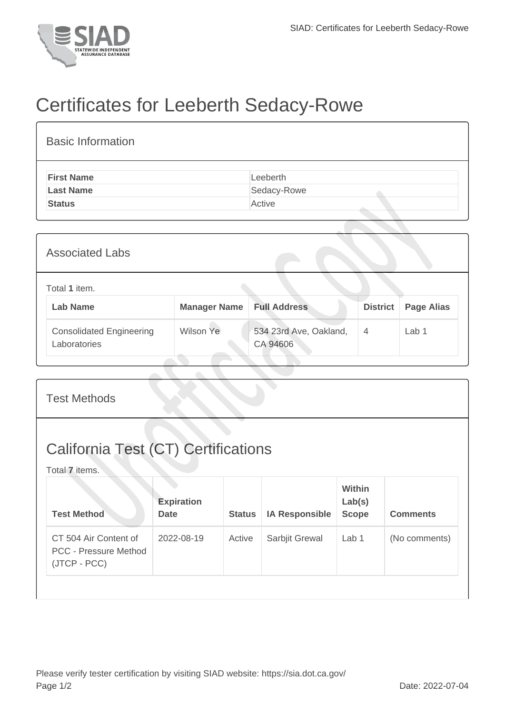

## Certificates for Leeberth Sedacy-Rowe

| <b>Basic Information</b> |             |
|--------------------------|-------------|
| <b>First Name</b>        | Leeberth    |
| <b>Last Name</b>         | Sedacy-Rowe |
| <b>Status</b>            | Active      |
|                          |             |
|                          |             |

| <b>Associated Labs</b> |                                                 |                     |                                    |                 |                   |  |  |  |
|------------------------|-------------------------------------------------|---------------------|------------------------------------|-----------------|-------------------|--|--|--|
|                        | Total 1 item.                                   |                     |                                    |                 |                   |  |  |  |
|                        | <b>Lab Name</b>                                 | <b>Manager Name</b> | <b>Full Address</b>                | <b>District</b> | <b>Page Alias</b> |  |  |  |
|                        | <b>Consolidated Engineering</b><br>Laboratories | Wilson Ye           | 534 23rd Ave, Oakland,<br>CA 94606 | $\overline{4}$  | Lab 1             |  |  |  |

| <b>Test Methods</b>                                                   |                                  |               |                       |                                         |                 |  |
|-----------------------------------------------------------------------|----------------------------------|---------------|-----------------------|-----------------------------------------|-----------------|--|
| <b>California Test (CT) Certifications</b><br>Total 7 items.          |                                  |               |                       |                                         |                 |  |
| <b>Test Method</b>                                                    | <b>Expiration</b><br><b>Date</b> | <b>Status</b> | <b>IA Responsible</b> | <b>Within</b><br>Lab(s)<br><b>Scope</b> | <b>Comments</b> |  |
| CT 504 Air Content of<br><b>PCC - Pressure Method</b><br>(JTCP - PCC) | 2022-08-19                       | Active        | Sarbjit Grewal        | Lab 1                                   | (No comments)   |  |
|                                                                       |                                  |               |                       |                                         |                 |  |